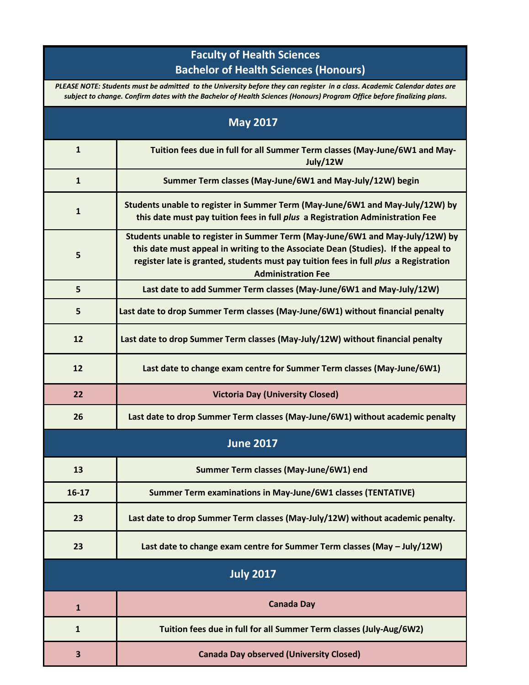## **Faculty of Health Sciences Bachelor of Health Sciences (Honours)**

*PLEASE NOTE: Students must be admitted to the University before they can register in a class. Academic Calendar dates are subject to change. Confirm dates with the Bachelor of Health Sciences (Honours) Program Office before finalizing plans.*

| <b>May 2017</b>  |                                                                                                                                                                                                                                                                                          |  |
|------------------|------------------------------------------------------------------------------------------------------------------------------------------------------------------------------------------------------------------------------------------------------------------------------------------|--|
| $\mathbf{1}$     | Tuition fees due in full for all Summer Term classes (May-June/6W1 and May-<br>July/12W                                                                                                                                                                                                  |  |
| $\mathbf{1}$     | Summer Term classes (May-June/6W1 and May-July/12W) begin                                                                                                                                                                                                                                |  |
| 1                | Students unable to register in Summer Term (May-June/6W1 and May-July/12W) by<br>this date must pay tuition fees in full plus a Registration Administration Fee                                                                                                                          |  |
| 5                | Students unable to register in Summer Term (May-June/6W1 and May-July/12W) by<br>this date must appeal in writing to the Associate Dean (Studies). If the appeal to<br>register late is granted, students must pay tuition fees in full plus a Registration<br><b>Administration Fee</b> |  |
| 5                | Last date to add Summer Term classes (May-June/6W1 and May-July/12W)                                                                                                                                                                                                                     |  |
| 5                | Last date to drop Summer Term classes (May-June/6W1) without financial penalty                                                                                                                                                                                                           |  |
| 12               | Last date to drop Summer Term classes (May-July/12W) without financial penalty                                                                                                                                                                                                           |  |
| 12               | Last date to change exam centre for Summer Term classes (May-June/6W1)                                                                                                                                                                                                                   |  |
| 22               | <b>Victoria Day (University Closed)</b>                                                                                                                                                                                                                                                  |  |
| 26               | Last date to drop Summer Term classes (May-June/6W1) without academic penalty                                                                                                                                                                                                            |  |
|                  | <b>June 2017</b>                                                                                                                                                                                                                                                                         |  |
| 13               | Summer Term classes (May-June/6W1) end                                                                                                                                                                                                                                                   |  |
| $16-17$          | Summer Term examinations in May-June/6W1 classes (TENTATIVE)                                                                                                                                                                                                                             |  |
| 23               | Last date to drop Summer Term classes (May-July/12W) without academic penalty.                                                                                                                                                                                                           |  |
| 23               | Last date to change exam centre for Summer Term classes (May - July/12W)                                                                                                                                                                                                                 |  |
| <b>July 2017</b> |                                                                                                                                                                                                                                                                                          |  |
| $\mathbf{1}$     | <b>Canada Day</b>                                                                                                                                                                                                                                                                        |  |
| 1                | Tuition fees due in full for all Summer Term classes (July-Aug/6W2)                                                                                                                                                                                                                      |  |
| 3                | <b>Canada Day observed (University Closed)</b>                                                                                                                                                                                                                                           |  |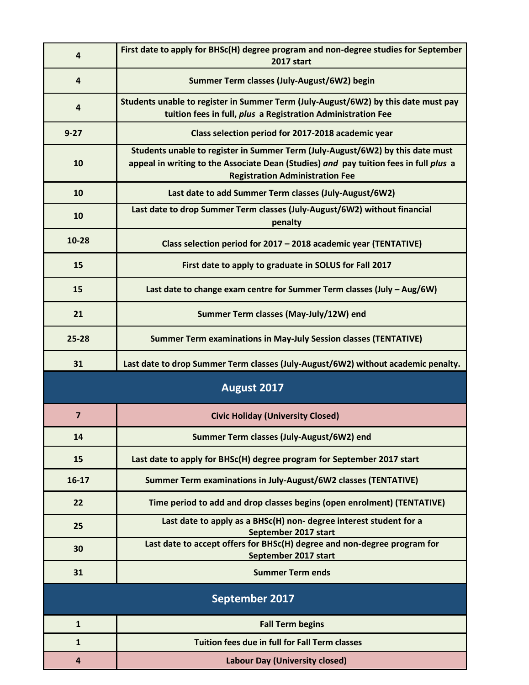| 4            | First date to apply for BHSc(H) degree program and non-degree studies for September<br><b>2017 start</b>                                                                                                          |
|--------------|-------------------------------------------------------------------------------------------------------------------------------------------------------------------------------------------------------------------|
| 4            | Summer Term classes (July-August/6W2) begin                                                                                                                                                                       |
| 4            | Students unable to register in Summer Term (July-August/6W2) by this date must pay<br>tuition fees in full, plus a Registration Administration Fee                                                                |
| $9 - 27$     | Class selection period for 2017-2018 academic year                                                                                                                                                                |
| 10           | Students unable to register in Summer Term (July-August/6W2) by this date must<br>appeal in writing to the Associate Dean (Studies) and pay tuition fees in full plus a<br><b>Registration Administration Fee</b> |
| 10           | Last date to add Summer Term classes (July-August/6W2)                                                                                                                                                            |
| 10           | Last date to drop Summer Term classes (July-August/6W2) without financial<br>penalty                                                                                                                              |
| 10-28        | Class selection period for 2017 - 2018 academic year (TENTATIVE)                                                                                                                                                  |
| 15           | First date to apply to graduate in SOLUS for Fall 2017                                                                                                                                                            |
| 15           | Last date to change exam centre for Summer Term classes (July - Aug/6W)                                                                                                                                           |
| 21           | Summer Term classes (May-July/12W) end                                                                                                                                                                            |
| 25-28        | <b>Summer Term examinations in May-July Session classes (TENTATIVE)</b>                                                                                                                                           |
|              |                                                                                                                                                                                                                   |
| 31           | Last date to drop Summer Term classes (July-August/6W2) without academic penalty.                                                                                                                                 |
|              | August 2017                                                                                                                                                                                                       |
| 7            | <b>Civic Holiday (University Closed)</b>                                                                                                                                                                          |
| 14           | Summer Term classes (July-August/6W2) end                                                                                                                                                                         |
| 15           | Last date to apply for BHSc(H) degree program for September 2017 start                                                                                                                                            |
| $16-17$      | Summer Term examinations in July-August/6W2 classes (TENTATIVE)                                                                                                                                                   |
| 22           | Time period to add and drop classes begins (open enrolment) (TENTATIVE)                                                                                                                                           |
| 25           | Last date to apply as a BHSc(H) non- degree interest student for a                                                                                                                                                |
| 30           | September 2017 start<br>Last date to accept offers for BHSc(H) degree and non-degree program for                                                                                                                  |
| 31           | September 2017 start<br><b>Summer Term ends</b>                                                                                                                                                                   |
|              | September 2017                                                                                                                                                                                                    |
| $\mathbf{1}$ | <b>Fall Term begins</b>                                                                                                                                                                                           |
| $\mathbf{1}$ | Tuition fees due in full for Fall Term classes                                                                                                                                                                    |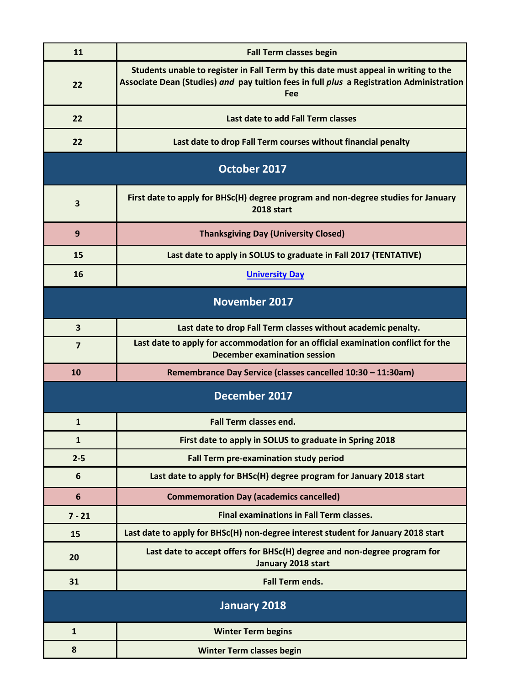| 11                      | <b>Fall Term classes begin</b>                                                                                                                                                         |  |
|-------------------------|----------------------------------------------------------------------------------------------------------------------------------------------------------------------------------------|--|
| 22                      | Students unable to register in Fall Term by this date must appeal in writing to the<br>Associate Dean (Studies) and pay tuition fees in full plus a Registration Administration<br>Fee |  |
| 22                      | Last date to add Fall Term classes                                                                                                                                                     |  |
| 22                      | Last date to drop Fall Term courses without financial penalty                                                                                                                          |  |
| October 2017            |                                                                                                                                                                                        |  |
| 3                       | First date to apply for BHSc(H) degree program and non-degree studies for January<br><b>2018 start</b>                                                                                 |  |
| 9                       | <b>Thanksgiving Day (University Closed)</b>                                                                                                                                            |  |
| 15                      | Last date to apply in SOLUS to graduate in Fall 2017 (TENTATIVE)                                                                                                                       |  |
| 16                      | <b>University Day</b>                                                                                                                                                                  |  |
| <b>November 2017</b>    |                                                                                                                                                                                        |  |
| $\overline{\mathbf{3}}$ | Last date to drop Fall Term classes without academic penalty.                                                                                                                          |  |
| $\overline{7}$          | Last date to apply for accommodation for an official examination conflict for the<br>December examination session                                                                      |  |
| 10                      | Remembrance Day Service (classes cancelled 10:30 - 11:30am)                                                                                                                            |  |
| December 2017           |                                                                                                                                                                                        |  |
| $\mathbf{1}$            | <b>Fall Term classes end.</b>                                                                                                                                                          |  |
| $\mathbf{1}$            | First date to apply in SOLUS to graduate in Spring 2018                                                                                                                                |  |
| $2 - 5$                 | Fall Term pre-examination study period                                                                                                                                                 |  |
| $6\phantom{1}6$         | Last date to apply for BHSc(H) degree program for January 2018 start                                                                                                                   |  |
| $6\phantom{1}6$         | <b>Commemoration Day (academics cancelled)</b>                                                                                                                                         |  |
| $7 - 21$                | <b>Final examinations in Fall Term classes.</b>                                                                                                                                        |  |
| 15                      | Last date to apply for BHSc(H) non-degree interest student for January 2018 start                                                                                                      |  |
| 20                      | Last date to accept offers for BHSc(H) degree and non-degree program for<br>January 2018 start                                                                                         |  |
| 31                      | <b>Fall Term ends.</b>                                                                                                                                                                 |  |
| <b>January 2018</b>     |                                                                                                                                                                                        |  |
| $\mathbf{1}$            | <b>Winter Term begins</b>                                                                                                                                                              |  |
| 8                       | <b>Winter Term classes begin</b>                                                                                                                                                       |  |